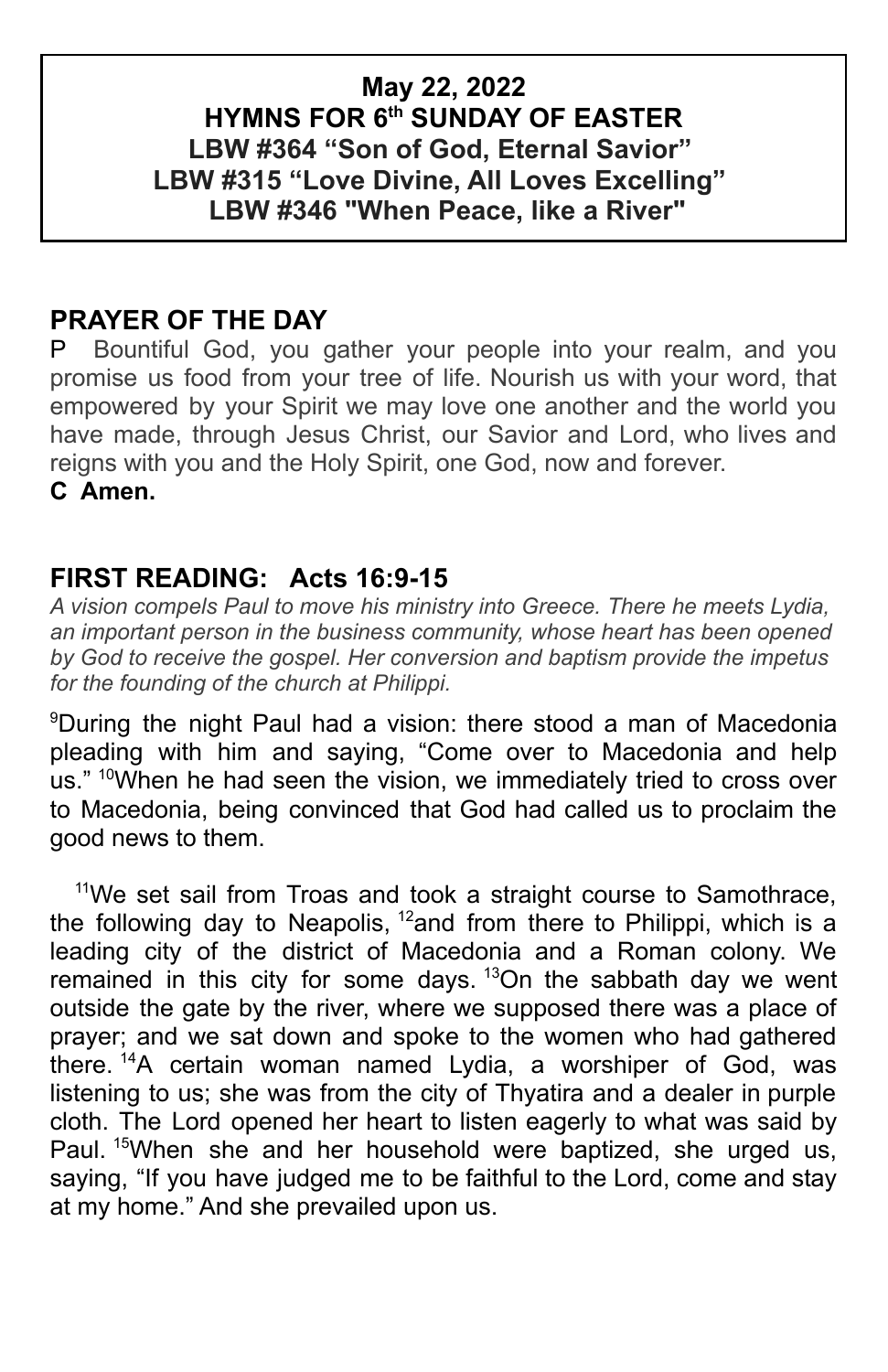## **May 22, 2022 HYMNS FOR 6th SUNDAY OF EASTER LBW #364 "Son of God, Eternal Savior" LBW #315 "Love Divine, All Loves Excelling" LBW #346 "When Peace, like a River"**

## **PRAYER OF THE DAY**

P Bountiful God, you gather your people into your realm, and you promise us food from your tree of life. Nourish us with your word, that empowered by your Spirit we may love one another and the world you have made, through Jesus Christ, our Savior and Lord, who lives and reigns with you and the Holy Spirit, one God, now and forever. **C Amen.**

### **FIRST READING: Acts 16:9-15**

*A vision compels Paul to move his ministry into Greece. There he meets Lydia, an important person in the business community, whose heart has been opened by God to receive the gospel. Her conversion and baptism provide the impetus for the founding of the church at Philippi.*

<sup>9</sup>During the night Paul had a vision: there stood a man of Macedonia pleading with him and saying, "Come over to Macedonia and help us." <sup>10</sup>When he had seen the vision, we immediately tried to cross over to Macedonia, being convinced that God had called us to proclaim the good news to them.

<sup>11</sup>We set sail from Troas and took a straight course to Samothrace, the following day to Neapolis,  $12$  and from there to Philippi, which is a leading city of the district of Macedonia and a Roman colony. We remained in this city for some days.<sup>13</sup>On the sabbath day we went outside the gate by the river, where we supposed there was a place of prayer; and we sat down and spoke to the women who had gathered there. <sup>14</sup>A certain woman named Lydia, a worshiper of God, was listening to us; she was from the city of Thyatira and a dealer in purple cloth. The Lord opened her heart to listen eagerly to what was said by Paul. <sup>15</sup>When she and her household were baptized, she urged us, saying, "If you have judged me to be faithful to the Lord, come and stay at my home." And she prevailed upon us.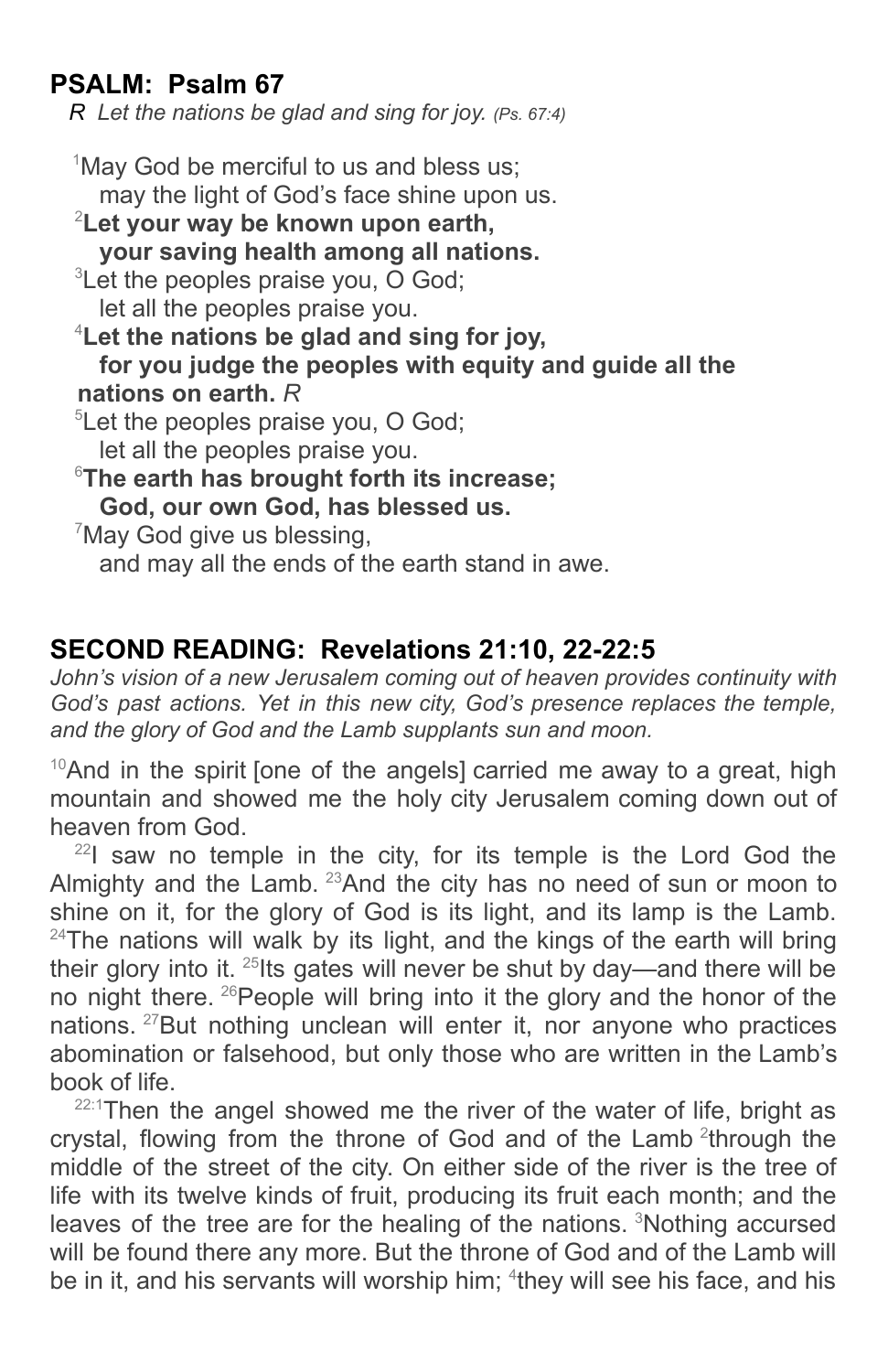# **PSALM: Psalm 67**

*R Let the nations be glad and sing for joy. (Ps. 67:4)*

 $1$ May God be merciful to us and bless us: may the light of God's face shine upon us. <sup>2</sup>**Let your way be known upon earth, your saving health among all nations.** <sup>3</sup>Let the peoples praise you, O God; let all the peoples praise you. <sup>4</sup>**Let the nations be glad and sing for joy, for you judge the peoples with equity and guide all the nations on earth.** *R*  ${}^{5}$ Let the peoples praise you, O God; let all the peoples praise you. <sup>6</sup>**The earth has brought forth its increase; God, our own God, has blessed us.** <sup>7</sup>May God give us blessing, and may all the ends of the earth stand in awe.

## **SECOND READING: Revelations 21:10, 22-22:5**

*John's vision of a new Jerusalem coming out of heaven provides continuity with God's past actions. Yet in this new city, God's presence replaces the temple, and the glory of God and the Lamb supplants sun and moon.*

 $10$ And in the spirit [one of the angels] carried me away to a great, high mountain and showed me the holy city Jerusalem coming down out of heaven from God.

 $^{22}$ I saw no temple in the city, for its temple is the Lord God the Almighty and the Lamb.  $^{23}$ And the city has no need of sun or moon to shine on it, for the glory of God is its light, and its lamp is the Lamb.  $24$ The nations will walk by its light, and the kings of the earth will bring their glory into it.  $25$ lts gates will never be shut by day—and there will be no night there. <sup>26</sup>People will bring into it the glory and the honor of the nations. <sup>27</sup>But nothing unclean will enter it, nor anyone who practices abomination or falsehood, but only those who are written in the Lamb's book of life.

 $22:1$ Then the angel showed me the river of the water of life, bright as crystal, flowing from the throne of God and of the Lamb<sup>2</sup>through the middle of the street of the city. On either side of the river is the tree of life with its twelve kinds of fruit, producing its fruit each month; and the leaves of the tree are for the healing of the nations. <sup>3</sup>Nothing accursed will be found there any more. But the throne of God and of the Lamb will be in it, and his servants will worship him; <sup>4</sup>they will see his face, and his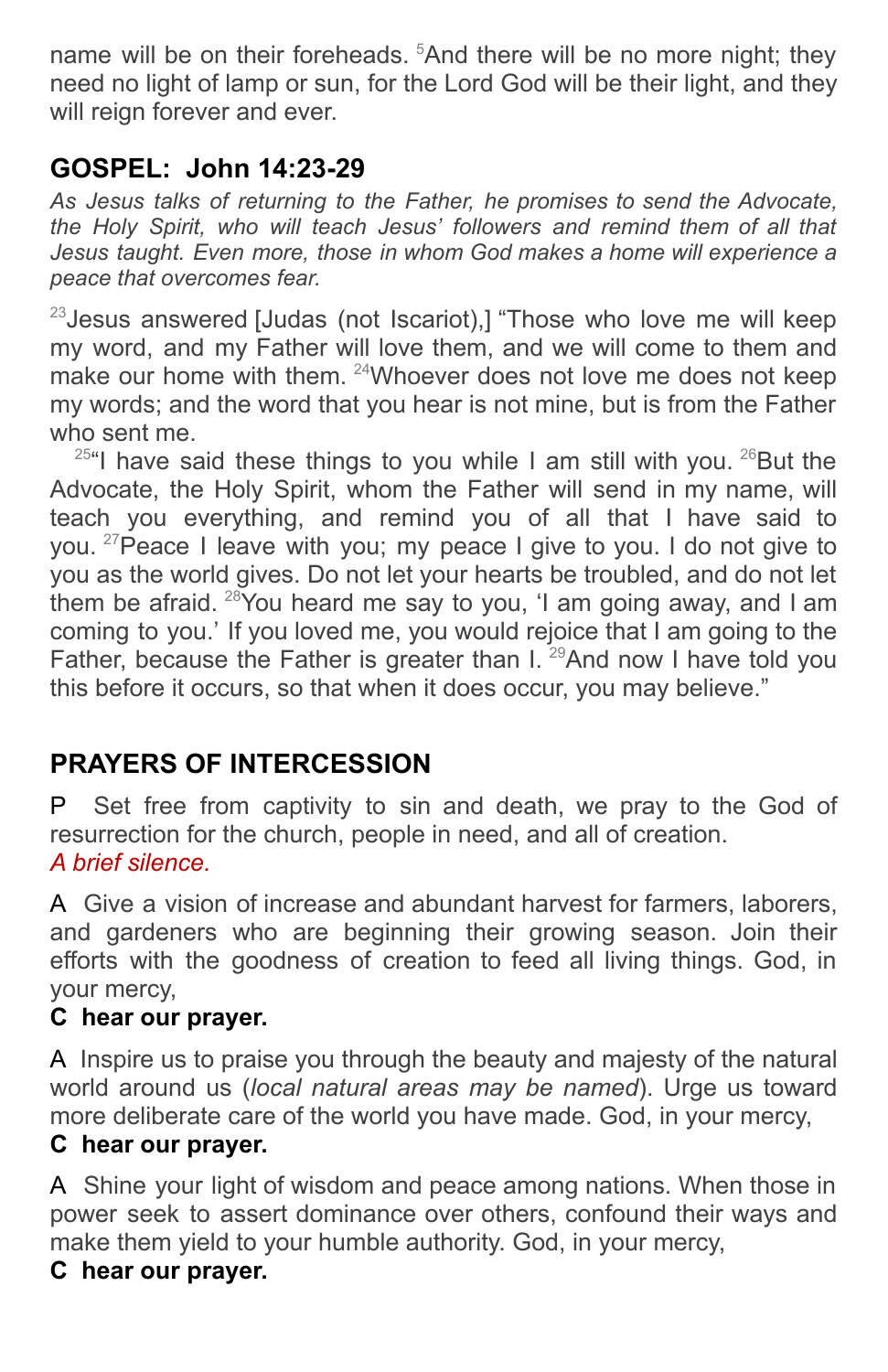name will be on their foreheads. <sup>5</sup>And there will be no more night; they need no light of lamp or sun, for the Lord God will be their light, and they will reign forever and ever.

# **GOSPEL: John 14:23-29**

*As Jesus talks of returning to the Father, he promises to send the Advocate, the Holy Spirit, who will teach Jesus' followers and remind them of all that Jesus taught. Even more, those in whom God makes a home will experience a peace that overcomes fear.*

 $23$  Jesus answered [Judas (not Iscariot),] "Those who love me will keep my word, and my Father will love them, and we will come to them and make our home with them. <sup>24</sup>Whoever does not love me does not keep my words; and the word that you hear is not mine, but is from the Father who sent me.

 $25$ "I have said these things to you while I am still with you.  $26$ But the Advocate, the Holy Spirit, whom the Father will send in my name, will teach you everything, and remind you of all that I have said to you.<sup>27</sup> Peace I leave with you; my peace I give to you. I do not give to you as the world gives. Do not let your hearts be troubled, and do not let them be afraid. <sup>28</sup> You heard me say to you, 'I am going away, and I am coming to you.' If you loved me, you would rejoice that I am going to the Father, because the Father is greater than I.  $^{29}$ And now I have told you this before it occurs, so that when it does occur, you may believe."

# **PRAYERS OF INTERCESSION**

P Set free from captivity to sin and death, we pray to the God of resurrection for the church, people in need, and all of creation. *A brief silence.*

A Give a vision of increase and abundant harvest for farmers, laborers, and gardeners who are beginning their growing season. Join their efforts with the goodness of creation to feed all living things. God, in your mercy,

## **C hear our prayer.**

A Inspire us to praise you through the beauty and majesty of the natural world around us (*local natural areas may be named*). Urge us toward more deliberate care of the world you have made. God, in your mercy,

## **C hear our prayer.**

A Shine your light of wisdom and peace among nations. When those in power seek to assert dominance over others, confound their ways and make them yield to your humble authority. God, in your mercy,

#### **C hear our prayer.**